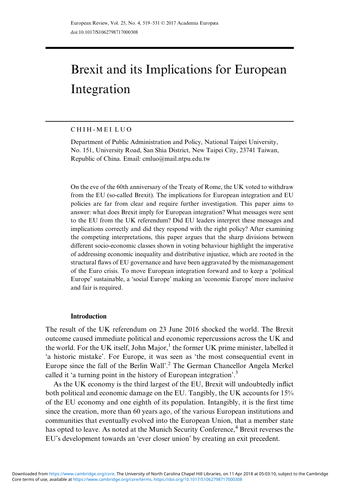# Brexit and its Implications for European Integration

## CHIH-MEI LUO

Department of Public Administration and Policy, National Taipei University, No. 151, University Road, San Shia District, New Taipei City, 23741 Taiwan, Republic of China. Email: [cmluo@mail.ntpu.edu.tw](mailto:cmluo@mail.ntpu.edu.tw)

On the eve of the 60th anniversary of the Treaty of Rome, the UK voted to withdraw from the EU (so-called Brexit). The implications for European integration and EU policies are far from clear and require further investigation. This paper aims to answer: what does Brexit imply for European integration? What messages were sent to the EU from the UK referendum? Did EU leaders interpret these messages and implications correctly and did they respond with the right policy? After examining the competing interpretations, this paper argues that the sharp divisions between different socio-economic classes shown in voting behaviour highlight the imperative of addressing economic inequality and distributive injustice, which are rooted in the structural flaws of EU governance and have been aggravated by the mismanagement of the Euro crisis. To move European integration forward and to keep a 'political Europe' sustainable, a 'social Europe' making an 'economic Europe' more inclusive and fair is required.

## Introduction

The result of the UK referendum on 23 June 2016 shocked the world. The Brexit outcome caused immediate political and economic repercussions across the UK and the world. For the UK itself, John Major, $<sup>1</sup>$  $<sup>1</sup>$  $<sup>1</sup>$  the former UK prime minister, labelled it</sup> 'a historic mistake'. For Europe, it was seen as 'the most consequential event in Europe since the fall of the Berlin Wall'. [2](#page-9-0) The German Chancellor Angela Merkel called it 'a turning point in the history of European integration'.<sup>[3](#page-9-0)</sup>

As the UK economy is the third largest of the EU, Brexit will undoubtedly inflict both political and economic damage on the EU. Tangibly, the UK accounts for 15% of the EU economy and one eighth of its population. Intangibly, it is the first time since the creation, more than 60 years ago, of the various European institutions and communities that eventually evolved into the European Union, that a member state has opted to leave. As noted at the Munich Security Conference,<sup>[4](#page-9-0)</sup> Brexit reverses the EU's development towards an 'ever closer union' by creating an exit precedent.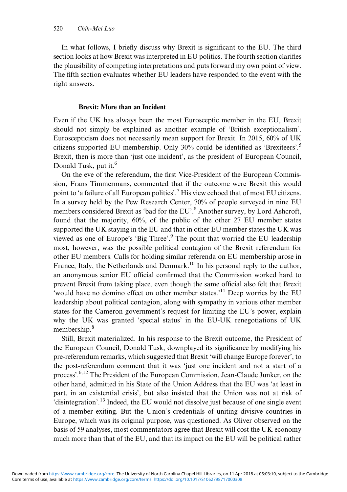In what follows, I briefly discuss why Brexit is significant to the EU. The third section looks at how Brexit was interpreted in EU politics. The fourth section clarifies the plausibility of competing interpretations and puts forward my own point of view. The fifth section evaluates whether EU leaders have responded to the event with the right answers.

#### Brexit: More than an Incident

Even if the UK has always been the most Eurosceptic member in the EU, Brexit should not simply be explained as another example of 'British exceptionalism'. Euroscepticism does not necessarily mean support for Brexit. In 2015, 60% of UK citizens supported EU membership. Only 30% could be identified as 'Brexiteers'. [5](#page-9-0) Brexit, then is more than 'just one incident', as the president of European Council, Donald Tusk, put it.<sup>[6](#page-9-0)</sup>

On the eve of the referendum, the first Vice-President of the European Commission, Frans Timmermans, commented that if the outcome were Brexit this would point to 'a failure of all European politics'.<sup>[7](#page-9-0)</sup> His view echoed that of most EU citizens. In a survey held by the Pew Research Center, 70% of people surveyed in nine EU members considered Brexit as 'bad for the EU'.<sup>[8](#page-9-0)</sup> Another survey, by Lord Ashcroft, found that the majority, 60%, of the public of the other 27 EU member states supported the UK staying in the EU and that in other EU member states the UK was viewed as one of Europe's 'Big Three'.<sup>[9](#page-9-0)</sup> The point that worried the EU leadership most, however, was the possible political contagion of the Brexit referendum for other EU members. Calls for holding similar referenda on EU membership arose in France, Italy, the Netherlands and Denmark.<sup>[10](#page-9-0)</sup> In his personal reply to the author, an anonymous senior EU official confirmed that the Commission worked hard to prevent Brexit from taking place, even though the same official also felt that Brexit 'would have no domino effect on other member states.'<sup>[11](#page-9-0)</sup> Deep worries by the EU leadership about political contagion, along with sympathy in various other member states for the Cameron government's request for limiting the EU's power, explain why the UK was granted 'special status' in the EU-UK renegotiations of UK membership.<sup>[8](#page-9-0)</sup>

Still, Brexit materialized. In his response to the Brexit outcome, the President of the European Council, Donald Tusk, downplayed its significance by modifying his pre-referendum remarks, which suggested that Brexit 'will change Europe forever', to the post-referendum comment that it was 'just one incident and not a start of a process'.<sup>[6,](#page-9-0)[12](#page-10-0)</sup> The President of the European Commission, Jean-Claude Junker, on the other hand, admitted in his State of the Union Address that the EU was 'at least in part, in an existential crisis', but also insisted that the Union was not at risk of 'disintegration'.<sup>[13](#page-10-0)</sup> Indeed, the EU would not dissolve just because of one single event of a member exiting. But the Union's credentials of uniting divisive countries in Europe, which was its original purpose, was questioned. As Oliver observed on the basis of 59 analyses, most commentators agree that Brexit will cost the UK economy much more than that of the EU, and that its impact on the EU will be political rather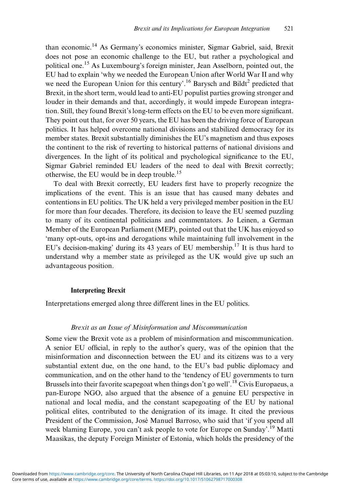than economic.[14](#page-10-0) As Germany's economics minister, Sigmar Gabriel, said, Brexit does not pose an economic challenge to the EU, but rather a psychological and political one.[15](#page-10-0) As Luxembourg's foreign minister, Jean Asselborn, pointed out, the EU had to explain 'why we needed the European Union after World War II and why we need the European Union for this century'.<sup>[16](#page-10-0)</sup> Barysch and Bildt<sup>[2](#page-9-0)</sup> predicted that Brexit, in the short term, would lead to anti-EU populist parties growing stronger and louder in their demands and that, accordingly, it would impede European integration. Still, they found Brexit's long-term effects on the EU to be even more significant. They point out that, for over 50 years, the EU has been the driving force of European politics. It has helped overcome national divisions and stabilized democracy for its member states. Brexit substantially diminishes the EU's magnetism and thus exposes the continent to the risk of reverting to historical patterns of national divisions and divergences. In the light of its political and psychological significance to the EU, Sigmar Gabriel reminded EU leaders of the need to deal with Brexit correctly; otherwise, the EU would be in deep trouble.[15](#page-10-0)

To deal with Brexit correctly, EU leaders first have to properly recognize the implications of the event. This is an issue that has caused many debates and contentions in EU politics. The UK held a very privileged member position in the EU for more than four decades. Therefore, its decision to leave the EU seemed puzzling to many of its continental politicians and commentators. Jo Leinen, a German Member of the European Parliament (MEP), pointed out that the UK has enjoyed so 'many opt-outs, opt-ins and derogations while maintaining full involvement in the EU's decision-making' during its 43 years of EU membership.<sup>[17](#page-10-0)</sup> It is thus hard to understand why a member state as privileged as the UK would give up such an advantageous position.

### Interpreting Brexit

Interpretations emerged along three different lines in the EU politics.

#### Brexit as an Issue of Misinformation and Miscommunication

Some view the Brexit vote as a problem of misinformation and miscommunication. A senior EU official, in reply to the author's query, was of the opinion that the misinformation and disconnection between the EU and its citizens was to a very substantial extent due, on the one hand, to the EU's bad public diplomacy and communication, and on the other hand to the 'tendency of EU governments to turn Brussels into their favorite scapegoat when things don't go well'.<sup>[18](#page-10-0)</sup> Civis Europaeus, a pan-Europe NGO, also argued that the absence of a genuine EU perspective in national and local media, and the constant scapegoating of the EU by national political elites, contributed to the denigration of its image. It cited the previous President of the Commission, José Manuel Barroso, who said that 'if you spend all week blaming Europe, you can't ask people to vote for Europe on Sunday'.<sup>[19](#page-10-0)</sup> Matti Maasikas, the deputy Foreign Minister of Estonia, which holds the presidency of the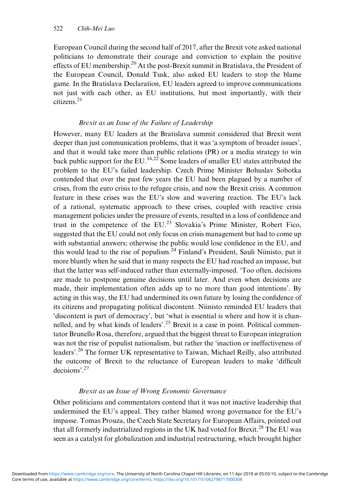European Council during the second half of 2017, after the Brexit vote asked national politicians to demonstrate their courage and conviction to explain the positive effects of EU membership.<sup>[20](#page-10-0)</sup> At the post-Brexit summit in Bratislava, the President of the European Council, Donald Tusk, also asked EU leaders to stop the blame game. In the Bratislava Declaration, EU leaders agreed to improve communications not just with each other, as EU institutions, but most importantly, with their citizens<sup>[21](#page-10-0)</sup>

## Brexit as an Issue of the Failure of Leadership

However, many EU leaders at the Bratislava summit considered that Brexit went deeper than just communication problems, that it was 'a symptom of broader issues', and that it would take more than public relations (PR) or a media strategy to win back public support for the EU.<sup>[16,22](#page-10-0)</sup> Some leaders of smaller EU states attributed the problem to the EU's failed leadership. Czech Prime Minister Bohuslav Sobotka contended that over the past few years the EU had been plagued by a number of crises, from the euro crisis to the refugee crisis, and now the Brexit crisis. A common feature in these crises was the EU's slow and wavering reaction. The EU's lack of a rational, systematic approach to these crises, coupled with reactive crisis management policies under the pressure of events, resulted in a loss of confidence and trust in the competence of the  $EU^{23}$  $EU^{23}$  $EU^{23}$  Slovakia's Prime Minister, Robert Fico, suggested that the EU could not only focus on crisis management but had to come up with substantial answers; otherwise the public would lose confidence in the EU, and this would lead to the rise of populism.<sup>[24](#page-10-0)</sup> Finland's President, Sauli Niinisto, put it more bluntly when he said that in many respects the EU had reached an impasse, but that the latter was self-induced rather than externally-imposed. 'Too often, decisions are made to postpone genuine decisions until later. And even when decisions are made, their implementation often adds up to no more than good intentions'. By acting in this way, the EU had undermined its own future by losing the confidence of its citizens and propagating political discontent. Niinisto reminded EU leaders that 'discontent is part of democracy', but 'what is essential is where and how it is chan-nelled, and by what kinds of leaders'.<sup>[25](#page-10-0)</sup> Brexit is a case in point. Political commentator Brunello Rosa, therefore, argued that the biggest threat to European integration was not the rise of populist nationalism, but rather the 'inaction or ineffectiveness of leaders'. [26](#page-10-0) The former UK representative to Taiwan, Michael Reilly, also attributed the outcome of Brexit to the reluctance of European leaders to make 'difficult decisions'. [27](#page-10-0)

## Brexit as an Issue of Wrong Economic Governance

Other politicians and commentators contend that it was not inactive leadership that undermined the EU's appeal. They rather blamed wrong governance for the EU's impasse. Tomas Prouza, the Czech State Secretary for European Affairs, pointed out that all formerly industrialized regions in the UK had voted for Brexit.<sup>[28](#page-10-0)</sup> The EU was seen as a catalyst for globalization and industrial restructuring, which brought higher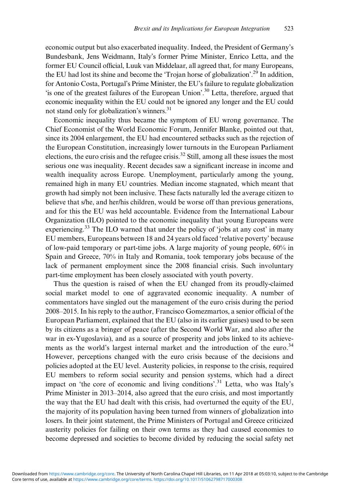economic output but also exacerbated inequality. Indeed, the President of Germany's Bundesbank, Jens Weidmann, Italy's former Prime Minister, Enrico Letta, and the former EU Council official, Luuk van Middelaar, all agreed that, for many Europeans, the EU had lost its shine and become the 'Trojan horse of globalization'. [29](#page-10-0) In addition, for Antonio Costa, Portugal's Prime Minister, the EU's failure to regulate globalization 'is one of the greatest failures of the European Union'. [30](#page-10-0) Letta, therefore, argued that economic inequality within the EU could not be ignored any longer and the EU could not stand only for globalization's winners.<sup>31</sup>

Economic inequality thus became the symptom of EU wrong governance. The Chief Economist of the World Economic Forum, Jennifer Blanke, pointed out that, since its 2004 enlargement, the EU had encountered setbacks such as the rejection of the European Constitution, increasingly lower turnouts in the European Parliament elections, the euro crisis and the refugee crisis.<sup>32</sup> Still, among all these issues the most serious one was inequality. Recent decades saw a significant increase in income and wealth inequality across Europe. Unemployment, particularly among the young, remained high in many EU countries. Median income stagnated, which meant that growth had simply not been inclusive. These facts naturally led the average citizen to believe that s/he, and her/his children, would be worse off than previous generations, and for this the EU was held accountable. Evidence from the International Labour Organization (ILO) pointed to the economic inequality that young Europeans were experiencing.<sup>[33](#page-11-0)</sup> The ILO warned that under the policy of 'jobs at any cost' in many EU members, Europeans between 18 and 24 years old faced 'relative poverty' because of low-paid temporary or part-time jobs. A large majority of young people, 60% in Spain and Greece, 70% in Italy and Romania, took temporary jobs because of the lack of permanent employment since the 2008 financial crisis. Such involuntary part-time employment has been closely associated with youth poverty.

Thus the question is raised of when the EU changed from its proudly-claimed social market model to one of aggravated economic inequality. A number of commentators have singled out the management of the euro crisis during the period 2008–2015. In his reply to the author, Francisco Gomezmartos, a senior official of the European Parliament, explained that the EU (also in its earlier guises) used to be seen by its citizens as a bringer of peace (after the Second World War, and also after the war in ex-Yugoslavia), and as a source of prosperity and jobs linked to its achieve-ments as the world's largest internal market and the introduction of the euro.<sup>[34](#page-11-0)</sup> However, perceptions changed with the euro crisis because of the decisions and policies adopted at the EU level. Austerity policies, in response to the crisis, required EU members to reform social security and pension systems, which had a direct impact on 'the core of economic and living conditions'. [31](#page-11-0) Letta, who was Italy's Prime Minister in 2013–2014, also agreed that the euro crisis, and most importantly the way that the EU had dealt with this crisis, had overturned the equity of the EU, the majority of its population having been turned from winners of globalization into losers. In their joint statement, the Prime Ministers of Portugal and Greece criticized austerity policies for failing on their own terms as they had caused economies to become depressed and societies to become divided by reducing the social safety net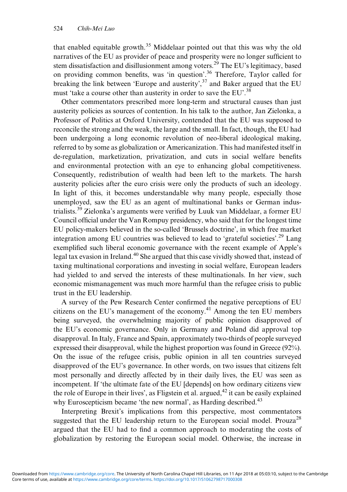that enabled equitable growth.<sup>[35](#page-11-0)</sup> Middelaar pointed out that this was why the old narratives of the EU as provider of peace and prosperity were no longer sufficient to stem dissatisfaction and disillusionment among voters.[29](#page-10-0) The EU's legitimacy, based on providing common benefits, was 'in question'. [36](#page-11-0) Therefore, Taylor called for breaking the link between 'Europe and austerity',<sup>[37](#page-11-0)</sup> and Baker argued that the EU must 'take a course other than austerity in order to save the EU'.<sup>[38](#page-11-0)</sup>

Other commentators prescribed more long-term and structural causes than just austerity policies as sources of contention. In his talk to the author, Jan Zielonka, a Professor of Politics at Oxford University, contended that the EU was supposed to reconcile the strong and the weak, the large and the small. In fact, though, the EU had been undergoing a long economic revolution of neo-liberal ideological making, referred to by some as globalization or Americanization. This had manifested itself in de-regulation, marketization, privatization, and cuts in social welfare benefits and environmental protection with an eye to enhancing global competitiveness. Consequently, redistribution of wealth had been left to the markets. The harsh austerity policies after the euro crisis were only the products of such an ideology. In light of this, it becomes understandable why many people, especially those unemployed, saw the EU as an agent of multinational banks or German industrialists.[39](#page-11-0) Zielonka's arguments were verified by Luuk van Middelaar, a former EU Council official under the Van Rompuy presidency, who said that for the longest time EU policy-makers believed in the so-called 'Brussels doctrine', in which free market integration among EU countries was believed to lead to 'grateful societies'. [29](#page-10-0) Lang exemplified such liberal economic governance with the recent example of Apple's legal tax evasion in Ireland.<sup>[40](#page-11-0)</sup> She argued that this case vividly showed that, instead of taxing multinational corporations and investing in social welfare, European leaders had yielded to and served the interests of these multinationals. In her view, such economic mismanagement was much more harmful than the refugee crisis to public trust in the EU leadership.

A survey of the Pew Research Center confirmed the negative perceptions of EU citizens on the EU's management of the economy.<sup>[41](#page-11-0)</sup> Among the ten EU members being surveyed, the overwhelming majority of public opinion disapproved of the EU's economic governance. Only in Germany and Poland did approval top disapproval. In Italy, France and Spain, approximately two-thirds of people surveyed expressed their disapproval, while the highest proportion was found in Greece (92%). On the issue of the refugee crisis, public opinion in all ten countries surveyed disapproved of the EU's governance. In other words, on two issues that citizens felt most personally and directly affected by in their daily lives, the EU was seen as incompetent. If 'the ultimate fate of the EU [depends] on how ordinary citizens view the role of Europe in their lives', as Fligstein et al. argued,  $42$  it can be easily explained why Euroscepticism became 'the new normal', as Harding described.<sup>[43](#page-11-0)</sup>

Interpreting Brexit's implications from this perspective, most commentators suggested that the EU leadership return to the European social model. Prouza<sup>[28](#page-10-0)</sup> argued that the EU had to find a common approach to moderating the costs of globalization by restoring the European social model. Otherwise, the increase in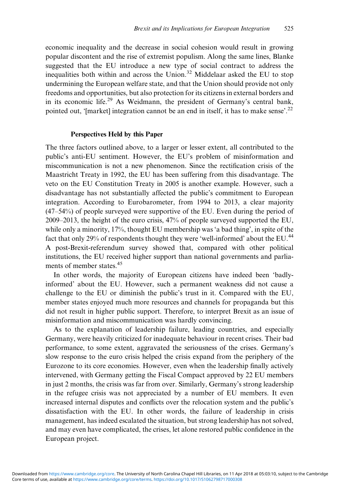economic inequality and the decrease in social cohesion would result in growing popular discontent and the rise of extremist populism. Along the same lines, Blanke suggested that the EU introduce a new type of social contract to address the inequalities both within and across the Union.[32](#page-11-0) Middelaar asked the EU to stop undermining the European welfare state, and that the Union should provide not only freedoms and opportunities, but also protection for its citizens in external borders and in its economic life.<sup>[29](#page-10-0)</sup> As Weidmann, the president of Germany's central bank, pointed out, '[market] integration cannot be an end in itself, it has to make sense'.<sup>[22](#page-10-0)</sup>

#### Perspectives Held by this Paper

The three factors outlined above, to a larger or lesser extent, all contributed to the public's anti-EU sentiment. However, the EU's problem of misinformation and miscommunication is not a new phenomenon. Since the rectification crisis of the Maastricht Treaty in 1992, the EU has been suffering from this disadvantage. The veto on the EU Constitution Treaty in 2005 is another example. However, such a disadvantage has not substantially affected the public's commitment to European integration. According to Eurobarometer, from 1994 to 2013, a clear majority (47–54%) of people surveyed were supportive of the EU. Even during the period of 2009–2013, the height of the euro crisis, 47% of people surveyed supported the EU, while only a minority, 17%, thought EU membership was 'a bad thing', in spite of the fact that only 29% of respondents thought they were 'well-informed' about the EU.<sup>[44](#page-11-0)</sup> A post-Brexit-referendum survey showed that, compared with other political institutions, the EU received higher support than national governments and parlia-ments of member states.<sup>[45](#page-11-0)</sup>

In other words, the majority of European citizens have indeed been 'badlyinformed' about the EU. However, such a permanent weakness did not cause a challenge to the EU or diminish the public's trust in it. Compared with the EU, member states enjoyed much more resources and channels for propaganda but this did not result in higher public support. Therefore, to interpret Brexit as an issue of misinformation and miscommunication was hardly convincing.

As to the explanation of leadership failure, leading countries, and especially Germany, were heavily criticized for inadequate behaviour in recent crises. Their bad performance, to some extent, aggravated the seriousness of the crises. Germany's slow response to the euro crisis helped the crisis expand from the periphery of the Eurozone to its core economies. However, even when the leadership finally actively intervened, with Germany getting the Fiscal Compact approved by 22 EU members in just 2 months, the crisis was far from over. Similarly, Germany's strong leadership in the refugee crisis was not appreciated by a number of EU members. It even increased internal disputes and conflicts over the relocation system and the public's dissatisfaction with the EU. In other words, the failure of leadership in crisis management, has indeed escalated the situation, but strong leadership has not solved, and may even have complicated, the crises, let alone restored public confidence in the European project.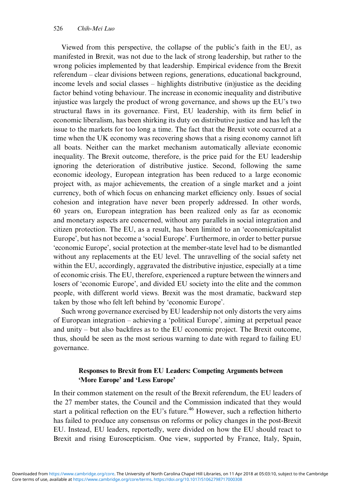Viewed from this perspective, the collapse of the public's faith in the EU, as manifested in Brexit, was not due to the lack of strong leadership, but rather to the wrong policies implemented by that leadership. Empirical evidence from the Brexit referendum – clear divisions between regions, generations, educational background, income levels and social classes – highlights distributive (in)justice as the deciding factor behind voting behaviour. The increase in economic inequality and distributive injustice was largely the product of wrong governance, and shows up the EU's two structural flaws in its governance. First, EU leadership, with its firm belief in economic liberalism, has been shirking its duty on distributive justice and has left the issue to the markets for too long a time. The fact that the Brexit vote occurred at a time when the UK economy was recovering shows that a rising economy cannot lift all boats. Neither can the market mechanism automatically alleviate economic inequality. The Brexit outcome, therefore, is the price paid for the EU leadership ignoring the deterioration of distributive justice. Second, following the same economic ideology, European integration has been reduced to a large economic project with, as major achievements, the creation of a single market and a joint currency, both of which focus on enhancing market efficiency only. Issues of social cohesion and integration have never been properly addressed. In other words, 60 years on, European integration has been realized only as far as economic and monetary aspects are concerned, without any parallels in social integration and citizen protection. The EU, as a result, has been limited to an 'economic/capitalist Europe', but has not become a 'social Europe'. Furthermore, in order to better pursue 'economic Europe', social protection at the member-state level had to be dismantled without any replacements at the EU level. The unravelling of the social safety net within the EU, accordingly, aggravated the distributive injustice, especially at a time of economic crisis. The EU, therefore, experienced a rupture between the winners and losers of 'economic Europe', and divided EU society into the elite and the common people, with different world views. Brexit was the most dramatic, backward step taken by those who felt left behind by 'economic Europe'.

Such wrong governance exercised by EU leadership not only distorts the very aims of European integration – achieving a 'political Europe', aiming at perpetual peace and unity – but also backfires as to the EU economic project. The Brexit outcome, thus, should be seen as the most serious warning to date with regard to failing EU governance.

## Responses to Brexit from EU Leaders: Competing Arguments between 'More Europe' and 'Less Europe'

In their common statement on the result of the Brexit referendum, the EU leaders of the 27 member states, the Council and the Commission indicated that they would start a political reflection on the EU's future.<sup>[46](#page-11-0)</sup> However, such a reflection hitherto has failed to produce any consensus on reforms or policy changes in the post-Brexit EU. Instead, EU leaders, reportedly, were divided on how the EU should react to Brexit and rising Euroscepticism. One view, supported by France, Italy, Spain,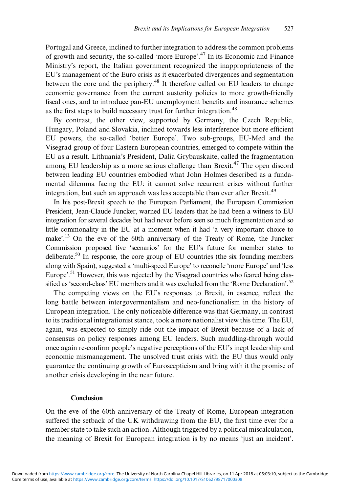Portugal and Greece, inclined to further integration to address the common problems of growth and security, the so-called 'more Europe'.<sup>[47](#page-11-0)</sup> In its Economic and Finance Ministry's report, the Italian government recognized the inappropriateness of the EU's management of the Euro crisis as it exacerbated divergences and segmentation between the core and the periphery.<sup>[48](#page-11-0)</sup> It therefore called on EU leaders to change economic governance from the current austerity policies to more growth-friendly fiscal ones, and to introduce pan-EU unemployment benefits and insurance schemes as the first steps to build necessary trust for further integration.<sup>[48](#page-11-0)</sup>

By contrast, the other view, supported by Germany, the Czech Republic, Hungary, Poland and Slovakia, inclined towards less interference but more efficient EU powers, the so-called 'better Europe'. Two sub-groups, EU-Med and the Visegrad group of four Eastern European countries, emerged to compete within the EU as a result. Lithuania's President, Dalia Grybauskaite, called the fragmentation among EU leadership as a more serious challenge than Brexit.<sup>[47](#page-11-0)</sup> The open discord between leading EU countries embodied what John Holmes described as a fundamental dilemma facing the EU: it cannot solve recurrent crises without further integration, but such an approach was less acceptable than ever after Brexit.<sup>[49](#page-11-0)</sup>

In his post-Brexit speech to the European Parliament, the European Commission President, Jean-Claude Juncker, warned EU leaders that he had been a witness to EU integration for several decades but had never before seen so much fragmentation and so little commonality in the EU at a moment when it had 'a very important choice to make'. [13](#page-10-0) On the eve of the 60th anniversary of the Treaty of Rome, the Juncker Commission proposed five 'scenarios' for the EU's future for member states to deliberate.<sup>[50](#page-11-0)</sup> In response, the core group of EU countries (the six founding members along with Spain), suggested a 'multi-speed Europe' to reconcile 'more Europe' and 'less Europe'.<sup>[51](#page-12-0)</sup> However, this was rejected by the Visegrad countries who feared being clas-sified as 'second-class' EU members and it was excluded from the 'Rome Declaration'.<sup>[52](#page-12-0)</sup>

The competing views on the EU's responses to Brexit, in essence, reflect the long battle between intergovermentalism and neo-functionalism in the history of European integration. The only noticeable difference was that Germany, in contrast to its traditional integrationist stance, took a more nationalist view this time. The EU, again, was expected to simply ride out the impact of Brexit because of a lack of consensus on policy responses among EU leaders. Such muddling-through would once again re-confirm people's negative perceptions of the EU's inept leadership and economic mismanagement. The unsolved trust crisis with the EU thus would only guarantee the continuing growth of Euroscepticism and bring with it the promise of another crisis developing in the near future.

#### **Conclusion**

On the eve of the 60th anniversary of the Treaty of Rome, European integration suffered the setback of the UK withdrawing from the EU, the first time ever for a member state to take such an action. Although triggered by a political miscalculation, the meaning of Brexit for European integration is by no means 'just an incident'.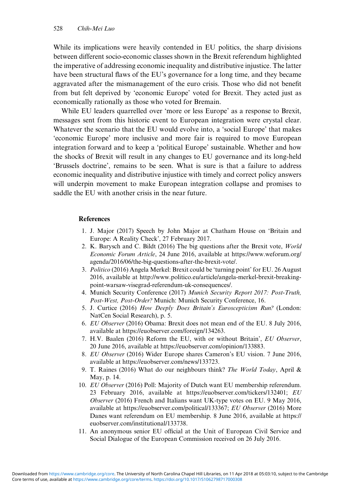<span id="page-9-0"></span>While its implications were heavily contended in EU politics, the sharp divisions between different socio-economic classes shown in the Brexit referendum highlighted the imperative of addressing economic inequality and distributive injustice. The latter have been structural flaws of the EU's governance for a long time, and they became aggravated after the mismanagement of the euro crisis. Those who did not benefit from but felt deprived by 'economic Europe' voted for Brexit. They acted just as economically rationally as those who voted for Bremain.

While EU leaders quarrelled over 'more or less Europe' as a response to Brexit, messages sent from this historic event to European integration were crystal clear. Whatever the scenario that the EU would evolve into, a 'social Europe' that makes 'economic Europe' more inclusive and more fair is required to move European integration forward and to keep a 'political Europe' sustainable. Whether and how the shocks of Brexit will result in any changes to EU governance and its long-held 'Brussels doctrine', remains to be seen. What is sure is that a failure to address economic inequality and distributive injustice with timely and correct policy answers will underpin movement to make European integration collapse and promises to saddle the EU with another crisis in the near future.

#### **References**

- 1. J. Major (2017) Speech by John Major at Chatham House on 'Britain and Europe: A Reality Check', 27 February 2017.
- 2. K. Barysch and C. Bildt (2016) The big questions after the Brexit vote, World Economic Forum Article, 24 June 2016, available at [https://www.weforum.org/](https://www.weforum.org/agenda/2016�/�06/the-big-questions-after-the-brexit-vote/) [agenda/2016/06/the-big-questions-after-the-brexit-vote/.](https://www.weforum.org/agenda/2016�/�06/the-big-questions-after-the-brexit-vote/)
- 3. Politico (2016) Angela Merkel: Brexit could be 'turning point' for EU. 26 August 2016, available at [http://www.politico.eu/article/angela-merkel-brexit-breaking](http://www.politico.eu/article/angela-merkel-brexit-breaking-point-warsaw-visegrad-referendum-uk-consequences/)[point-warsaw-visegrad-referendum-uk-consequences/](http://www.politico.eu/article/angela-merkel-brexit-breaking-point-warsaw-visegrad-referendum-uk-consequences/).
- 4. Munich Security Conference (2017) Munich Security Report 2017: Post-Truth, Post-West, Post-Order? Munich: Munich Security Conference, 16.
- 5. J. Curtice (2016) How Deeply Does Britain's Euroscepticism Run? (London: NatCen Social Research), p. 5.
- 6. EU Observer (2016) Obama: Brexit does not mean end of the EU. 8 July 2016, available at<https://euobserver.com/foreign/134263>.
- 7. H.V. Baalen (2016) Reform the EU, with or without Britain', EU Observer, 20 June 2016, available at [https://euobserver.com/opinion/133883.](https://euobserver.com/opinion/133883)
- 8. EU Observer (2016) Wider Europe shares Cameron's EU vision. 7 June 2016, available at [https://euobserver.com/news/133723.](https://euobserver.com/news/133723)
- 9. T. Raines (2016) What do our neighbours think? The World Today, April & May, p. 14.
- 10. EU Observer (2016) Poll: Majority of Dutch want EU membership referendum. 23 February 2016, available at [https://euobserver.com/tickers/132401;](https://euobserver.com/tickers/132401) EU Observer (2016) French and Italians want UK-type votes on EU. 9 May 2016, available at<https://euobserver.com/political/133367>; EU Observer (2016) More Danes want referendum on EU membership. 8 June 2016, available at [https://](https://euobserver.com/institutional/133738) [euobserver.com/institutional/133738.](https://euobserver.com/institutional/133738)
- 11. An anonymous senior EU official at the Unit of European Civil Service and Social Dialogue of the European Commission received on 26 July 2016.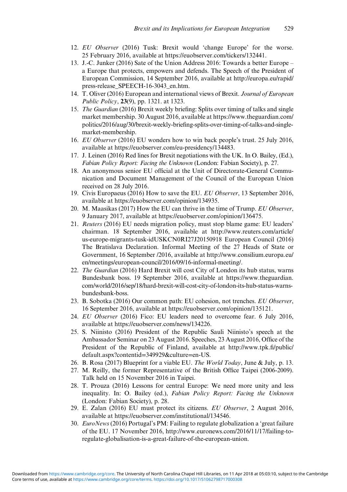- <span id="page-10-0"></span>12. EU Observer (2016) Tusk: Brexit would 'change Europe' for the worse. 25 February 2016, available at [https://euobserver.com/tickers/132441.](https://euobserver.com/tickers/132441)
- 13. J.-C. Junker (2016) Sate of the Union Address 2016: Towards a better Europe a Europe that protects, empowers and defends. The Speech of the President of European Commission, 14 September 2016, available at [http://europa.eu/rapid/](http://europa.eu/rapid/press-release_SPEECH�-�16-3043_en.htm) [press-release\\_SPEECH-16-3043\\_en.htm.](http://europa.eu/rapid/press-release_SPEECH�-�16-3043_en.htm)
- 14. T. Oliver (2016) European and international views of Brexit. Journal of European *Public Policy*, **23**(9), pp. 1321. at 1323.
- 15. The Guardian (2016) Brexit weekly briefing: Splits over timing of talks and single market membership. 30 August 2016, available at [https://www.theguardian.com/](https://www.theguardian.com/politics/2016/aug/30/brexit-weekly-briefing-splits-over-timing-of-talks-and-single-market-membership) politics/2016/aug/30/brexit-weekly-briefi[ng-splits-over-timing-of-talks-and-single](https://www.theguardian.com/politics/2016/aug/30/brexit-weekly-briefing-splits-over-timing-of-talks-and-single-market-membership)[market-membership.](https://www.theguardian.com/politics/2016/aug/30/brexit-weekly-briefing-splits-over-timing-of-talks-and-single-market-membership)
- 16. EU Observer (2016) EU wonders how to win back people's trust. 25 July 2016, available at [https://euobserver.com/eu-presidency/134483.](https://euobserver.com/eu-presidency/134483)
- 17. J. Leinen (2016) Red lines for Brexit negotiations with the UK. In O. Bailey, (Ed.), Fabian Policy Report: Facing the Unknown (London: Fabian Society), p. 27.
- 18. An anonymous senior EU official at the Unit of Directorate-General Communication and Document Management of the Council of the European Union received on 28 July 2016.
- 19. Civis Europaeus (2016) How to save the EU. EU Observer, 13 September 2016, available at<https://euobserver.com/opinion/134935>.
- 20. M. Maasikas (2017) How the EU can thrive in the time of Trump. EU Observer, 9 January 2017, available at [https://euobserver.com/opinion/136475.](https://euobserver.com/opinion/136475)
- 21. Reuters (2016) EU needs migration policy, must stop blame game: EU leaders' chairman. 18 September 2016, available at [http://www.reuters.com/article/](http://www.reuters.com/article/us-europe-migrants-tusk-idUSKCN0RI27J20150918) [us-europe-migrants-tusk-idUSKCN0RI27J20150918](http://www.reuters.com/article/us-europe-migrants-tusk-idUSKCN0RI27J20150918) European Council (2016) The Bratislava Declaration. Informal Meeting of the 27 Heads of State or Government, 16 September /2016, available at [http://www.consilium.europa.eu/](http://www.consilium.europa.eu/en/meetings/european-council/2016�/�09/16-informal-meeting/) [en/meetings/european-council/2016/09/16-informal-meeting/.](http://www.consilium.europa.eu/en/meetings/european-council/2016�/�09/16-informal-meeting/)
- 22. The Guardian (2016) Hard Brexit will cost City of London its hub status, warns Bundesbank boss. 19 September 2016, available at [https://www.theguardian.](https://www.theguardian.com/world/2016/sep/18/hard-brexit-will-cost-city-of-london-its-hub-status-warns-bundesbank-boss) [com/world/2016/sep/18/hard-brexit-will-cost-city-of-london-its-hub-status-warns](https://www.theguardian.com/world/2016/sep/18/hard-brexit-will-cost-city-of-london-its-hub-status-warns-bundesbank-boss)[bundesbank-boss.](https://www.theguardian.com/world/2016/sep/18/hard-brexit-will-cost-city-of-london-its-hub-status-warns-bundesbank-boss)
- 23. B. Sobotka (2016) Our common path: EU cohesion, not trenches. EU Observer, 16 September 2016, available at [https://euobserver.com/opinion/135121.](https://euobserver.com/opinion/135121)
- 24. EU Observer (2016) Fico: EU leaders need to overcome fear. 6 July 2016, available at [https://euobserver.com/news/134226.](https://euobserver.com/news/134226)
- 25. S. Niinisto (2016) President of the Republic Sauli Niinisto's speech at the Ambassador Seminar on 23 August 2016. Speeches, 23 August 2016, Office of the President of the Republic of Finland, available at [http://www.tpk.](http://www.tpk.fi/public/default.aspx?contentid=349929&culture=en-US)fi/public/ [default.aspx?contentid](http://www.tpk.fi/public/default.aspx?contentid=349929&culture=en-US)=349929&culture=en-US.
- 26. B. Rosa (2017) Blueprint for a viable EU. The World Today, June & July, p. 13.
- 27. M. Reilly, the former Representative of the British Office Taipei (2006-2009). Talk held on 15 November 2016 in Taipei.
- 28. T. Prouza (2016) Lessons for central Europe: We need more unity and less inequality. In: O. Bailey (ed.), Fabian Policy Report: Facing the Unknown (London: Fabian Society), p. 28.
- 29. E. Zalan (2016) EU must protect its citizens. EU Observer, 2 August 2016, available at [https://euobserver.com/institutional/134546.](https://euobserver.com/institutional/134546)
- 30. EuroNews (2016) Portugal's PM: Failing to regulate globalization a 'great failure of the EU. 17 November 2016, [http://www.euronews.com/2016/11/17/failing-to](http://www.euronews.com/2016�/�11/17/failing-to-regulate-globalisation-is-a-great-failure-of-the-european-union)[regulate-globalisation-is-a-great-failure-of-the-european-union.](http://www.euronews.com/2016�/�11/17/failing-to-regulate-globalisation-is-a-great-failure-of-the-european-union)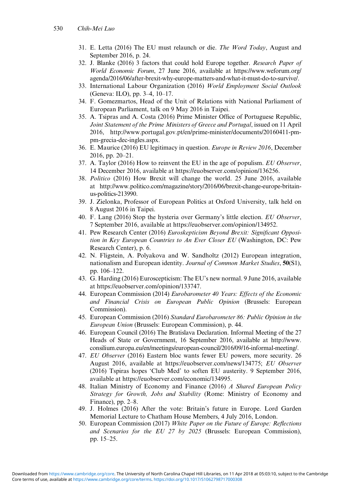- <span id="page-11-0"></span>31. E. Letta (2016) The EU must relaunch or die. The Word Today, August and September 2016, p. 24.
- 32. J. Blanke (2016) 3 factors that could hold Europe together. Research Paper of World Economic Forum, 27 June 2016, available at [https://www.weforum.org/](https://www.weforum.org/agenda/2016�/�06/after-brexit-why-europe-matters-and-what-it-must-do-to-survive/) [agenda/2016/06/after-brexit-why-europe-matters-and-what-it-must-do-to-survive/](https://www.weforum.org/agenda/2016�/�06/after-brexit-why-europe-matters-and-what-it-must-do-to-survive/).
- 33. International Labour Organization (2016) World Employment Social Outlook (Geneva: ILO), pp. 3–4, 10–17.
- 34. F. Gomezmartos, Head of the Unit of Relations with National Parliament of European Parliament, talk on 9 May 2016 in Taipei.
- 35. A. Tsipras and A. Costa (2016) Prime Minister Office of Portuguese Republic, Joint Statement of the Prime Ministers of Greece and Portugal, issued on 11 April 2016, [http://www.portugal.gov.pt/en/prime-minister/documents/20160411-pm](http://www.portugal.gov.pt/en/prime-minister/documents/20160411-pm-pm-grecia-dec-ingles.aspx)[pm-grecia-dec-ingles.aspx](http://www.portugal.gov.pt/en/prime-minister/documents/20160411-pm-pm-grecia-dec-ingles.aspx).
- 36. E. Maurice (2016) EU legitimacy in question. Europe in Review 2016, December 2016, pp. 20–21.
- 37. A. Taylor (2016) How to reinvent the EU in the age of populism. EU Observer, 14 December 2016, available at [https://euobserver.com/opinion/136256.](https://euobserver.com/opinion/136256)
- 38. Politico (2016) How Brexit will change the world. 25 June 2016, available at [http://www.politico.com/magazine/story/2016/06/brexit-change-europe-britain](http://www.politico.com/magazine/story/2016�/�06/brexit-change-europe-britain-us-politics-213990)[us-politics-213990](http://www.politico.com/magazine/story/2016�/�06/brexit-change-europe-britain-us-politics-213990).
- 39. J. Zielonka, Professor of European Politics at Oxford University, talk held on 8 August 2016 in Taipei.
- 40. F. Lang (2016) Stop the hysteria over Germany's little election. EU Observer, 7 September 2016, available at [https://euobserver.com/opinion/134952.](https://euobserver.com/opinion/134952)
- 41. Pew Research Center (2016) Euroskepticism Beyond Brexit: Significant Opposition in Key European Countries to An Ever Closer EU (Washington, DC: Pew Research Center), p. 6.
- 42. N. Fligstein, A. Polyakova and W. Sandholtz (2012) European integration, nationalism and European identity. Journal of Common Market Studies, 50(S1), pp. 106–122.
- 43. G. Harding (2016) Euroscepticism: The EU's new normal. 9 June 2016, available at<https://euobserver.com/opinion/133747>.
- 44. European Commission (2014) Eurobarometer 40 Years: Effects of the Economic and Financial Crisis on European Public Opinion (Brussels: European Commission).
- 45. European Commission (2016) Standard Eurobarometer 86: Public Opinion in the European Union (Brussels: European Commission), p. 44.
- 46. European Council (2016) The Bratislava Declaration. Informal Meeting of the 27 Heads of State or Government, 16 September 2016, available at [http://www.](http://www.consilium.europa.eu/en/meetings/european-council/2016�/�09/16-informal-meeting/) [consilium.europa.eu/en/meetings/european-council/2016/09/16-informal-meeting/](http://www.consilium.europa.eu/en/meetings/european-council/2016�/�09/16-informal-meeting/).
- 47. EU Observer (2016) Eastern bloc wants fewer EU powers, more security. 26 August 2016, available at [https://euobserver.com/news/134775;](https://euobserver.com/news/134775) EU Observer (2016) Tspiras hopes 'Club Med' to soften EU austerity. 9 September 2016, available at [https://euobserver.com/economic/134995.](https://euobserver.com/economic/134995)
- 48. Italian Ministry of Economy and Finance (2016) A Shared European Policy Strategy for Growth, Jobs and Stability (Rome: Ministry of Economy and Finance), pp. 2–8.
- 49. J. Holmes (2016) After the vote: Britain's future in Europe. Lord Garden Memorial Lecture to Chatham House Members, 4 July 2016, London.
- 50. European Commission (2017) White Paper on the Future of Europe: Reflections and Scenarios for the EU 27 by 2025 (Brussels: European Commission), pp. 15–25.